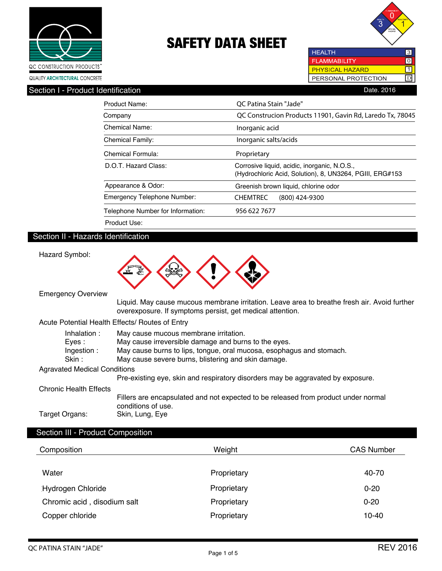



 $\overline{10}$  $\overline{\mathbb{1}}$ 

**HEALTH FLAMMABILITY PHYSICAL HAZARD** PERSONAL PROTECTION D

Section I - Product Identification **Date. 2016** Date. 2016

| Product Name:                     | OC Patina Stain "Jade"                                                                                   |
|-----------------------------------|----------------------------------------------------------------------------------------------------------|
| Company                           | QC Construcion Products 11901, Gavin Rd, Laredo Tx, 78045                                                |
| Chemical Name:                    | Inorganic acid                                                                                           |
| <b>Chemical Family:</b>           | Inorganic salts/acids                                                                                    |
| Chemical Formula:                 | Proprietary                                                                                              |
| D.O.T. Hazard Class:              | Corrosive liquid, acidic, inorganic, N.O.S.,<br>(Hydrochloric Acid, Solution), 8, UN3264, PGIII, ERG#153 |
| Appearance & Odor:                | Greenish brown liquid, chlorine odor                                                                     |
| Emergency Telephone Number:       | <b>CHEMTREC</b><br>$(800)$ 424-9300                                                                      |
| Telephone Number for Information: | 956 622 7677                                                                                             |
| Product Use:                      |                                                                                                          |

# Section II - Hazards Identification

Hazard Symbol:



Emergency Overview

 Liquid. May cause mucous membrane irritation. Leave area to breathe fresh air. Avoid further overexposure. If symptoms persist, get medical attention.

Acute Potential Health Effects/ Routes of Entry

| Inhalation:<br>Eves :<br>Ingestion:<br>Skin : | May cause mucous membrane irritation.<br>May cause irreversible damage and burns to the eyes.<br>May cause burns to lips, tongue, oral mucosa, esophagus and stomach.<br>May cause severe burns, blistering and skin damage. |
|-----------------------------------------------|------------------------------------------------------------------------------------------------------------------------------------------------------------------------------------------------------------------------------|
|                                               |                                                                                                                                                                                                                              |
| <b>Agravated Medical Conditions</b>           |                                                                                                                                                                                                                              |
|                                               | Pre-existing eye, skin and respiratory disorders may be aggravated by exposure.                                                                                                                                              |
| Chronic Health Effects                        |                                                                                                                                                                                                                              |
|                                               | Fillers are encapsulated and not expected to be released from product under normal<br>conditions of use.                                                                                                                     |
| Target Organs:                                | Skin, Lung, Eye                                                                                                                                                                                                              |

### Section III - Product Composition

| Composition                 | Weight      | <b>CAS Number</b> |
|-----------------------------|-------------|-------------------|
| Water                       | Proprietary | 40-70             |
| Hydrogen Chloride           | Proprietary | $0 - 20$          |
| Chromic acid, disodium salt | Proprietary | $0 - 20$          |
| Copper chloride             | Proprietary | $10 - 40$         |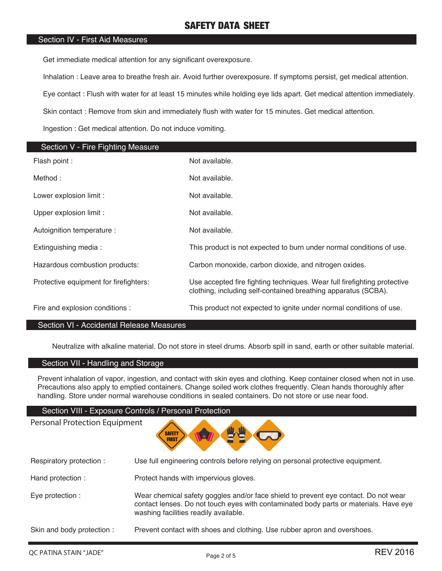#### Section IV - First Aid Measures

Get immediate medical attention for any significant overexposure.

Inhalation : Leave area to breathe fresh air. Avoid further overexposure. If symptoms persist, get medical attention.

Eye contact : Flush with water for at least 15 minutes while holding eye lids apart. Get medical attention immediately.

Skin contact : Remove from skin and immediately flush with water for 15 minutes. Get medical attention.

Ingestion : Get medical attention. Do not induce vomiting.

| <b>Section V - Fire Fighting Measure</b> |                                                                                                                                            |
|------------------------------------------|--------------------------------------------------------------------------------------------------------------------------------------------|
| Flash point :                            | Not available.                                                                                                                             |
| Method:                                  | Not available.                                                                                                                             |
| Lower explosion limit :                  | Not available.                                                                                                                             |
| Upper explosion limit :                  | Not available.                                                                                                                             |
| Autoignition temperature :               | Not available.                                                                                                                             |
| Extinguishing media:                     | This product is not expected to burn under normal conditions of use.                                                                       |
| Hazardous combustion products:           | Carbon monoxide, carbon dioxide, and nitrogen oxides.                                                                                      |
| Protective equipment for firefighters:   | Use accepted fire fighting techniques. Wear full firefighting protective<br>clothing, including self-contained breathing apparatus (SCBA). |
| Fire and explosion conditions :          | This product not expected to ignite under normal conditions of use.                                                                        |

#### Section VI - Accidental Release Measures

Neutralize with alkaline material. Do not store in steel drums. Absorb spill in sand, earth or other suitable material.

# Section VII - Handling and Storage

Personal Protection Equipment

Prevent inhalation of vapor, ingestion, and contact with skin eyes and clothing. Keep container closed when not in use. Precautions also apply to emptied containers. Change soiled work clothes frequently. Clean hands thoroughly after handling. Store under normal warehouse conditions in sealed containers. Do not store or use near food.

#### Section VIII - Exposure Controls / Personal Protection

**SAFETY FIRST** 

| Respiratory protection :  | Use full engineering controls before relying on personal protective equipment.                                                                                                                                        |
|---------------------------|-----------------------------------------------------------------------------------------------------------------------------------------------------------------------------------------------------------------------|
| Hand protection:          | Protect hands with impervious gloves.                                                                                                                                                                                 |
| Eye protection :          | Wear chemical safety goggles and/or face shield to prevent eye contact. Do not wear<br>contact lenses. Do not touch eyes with contaminated body parts or materials. Have eye<br>washing facilities readily available. |
| Skin and body protection: | Prevent contact with shoes and clothing. Use rubber apron and overshoes.                                                                                                                                              |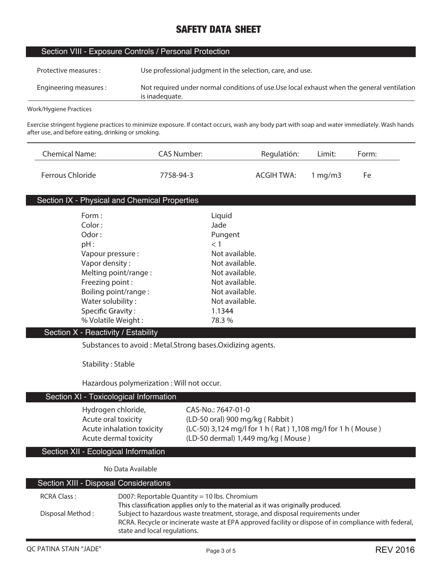| Section VIII - Exposure Controls / Personal Protection |  |  |  |  |
|--------------------------------------------------------|--|--|--|--|
|--------------------------------------------------------|--|--|--|--|

| Protective measures :  | Use professional judgment in the selection, care, and use.                                                    |
|------------------------|---------------------------------------------------------------------------------------------------------------|
| Engineering measures : | Not required under normal conditions of use. Use local exhaust when the general ventilation<br>is inadequate. |

**Work/Hygiene Practices**

**Exercise stringent hygiene practices to minimize exposure. If contact occurs, wash any body part with soap and water immediately. Wash hands after use, and before eating, drinking or smoking.**

| Chemical Name:   | CAS Number: | Regulatión: | Limit:           | Form: |
|------------------|-------------|-------------|------------------|-------|
| Ferrous Chloride | 7758-94-3   | ACGIH TWA:  | $1 \text{ ma/m}$ | Fe    |

### Section IX - Physical and Chemical Properties

| Form:                | Liquid         |
|----------------------|----------------|
| Color:               | Jade           |
| Odor:                | Pungent        |
| $pH$ :               | < 1            |
| Vapour pressure :    | Not available. |
| Vapor density:       | Not available. |
| Melting point/range: | Not available. |
| Freezing point:      | Not available. |
| Boiling point/range: | Not available. |
| Water solubility:    | Not available. |
| Specific Gravity:    | 1.1344         |
| % Volatile Weight:   | 78.3 %         |

#### Section X - Reactivity / Estability

**Substances to avoid : Metal.Strong bases.Oxidizing agents.**

**Stability : Stable**

**Hazardous polymerization : Will not occur.**

# Section XI - Toxicological Information

**Hydrogen chloride, CAS-No.: 7647-01-0**

**Acute oral toxicity (LD-50 oral) 900 mg/kg ( Rabbit ) Acute inhalation toxicity (LC-50) 3,124 mg/l for 1 h ( Rat ) 1,108 mg/l for 1 h ( Mouse ) Acute dermal toxicity (LD-50 dermal) 1,449 mg/kg ( Mouse )**

Section XII - Ecological Information

**No Data Available**

| Section XIII - Disposal Considerations |                                                                                                                                                                                                                        |
|----------------------------------------|------------------------------------------------------------------------------------------------------------------------------------------------------------------------------------------------------------------------|
| <b>RCRA Class:</b>                     | D007: Reportable Quantity = 10 lbs. Chromium                                                                                                                                                                           |
|                                        | This classification applies only to the material as it was originally produced.                                                                                                                                        |
| Disposal Method:                       | Subject to hazardous waste treatment, storage, and disposal requirements under<br>RCRA. Recycle or incinerate waste at EPA approved facility or dispose of in compliance with federal,<br>state and local regulations. |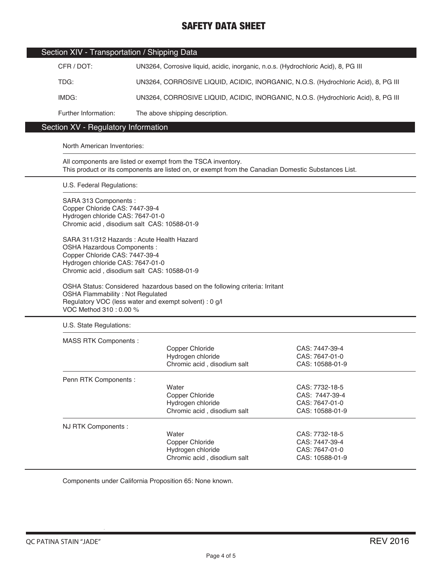| Section XIV - Transportation / Shipping Data |                                                                                    |
|----------------------------------------------|------------------------------------------------------------------------------------|
| CFR / DOT:                                   | UN3264, Corrosive liquid, acidic, inorganic, n.o.s. (Hydrochloric Acid), 8, PG III |
| TDG:                                         | UN3264, CORROSIVE LIQUID, ACIDIC, INORGANIC, N.O.S. (Hydrochloric Acid), 8, PG III |
| IMDG:                                        | UN3264, CORROSIVE LIQUID, ACIDIC, INORGANIC, N.O.S. (Hydrochloric Acid), 8, PG III |
| Further Information:                         | The above shipping description.                                                    |

# Section XV - Regulatory Information

#### North American Inventories:

All components are listed or exempt from the TSCA inventory. This product or its components are listed on, or exempt from the Canadian Domestic Substances List.

U.S. Federal Regulations:

SARA 313 Components : Copper Chloride CAS: 7447-39-4 Hydrogen chloride CAS: 7647-01-0 Chromic acid , disodium salt CAS: 10588-01-9

SARA 311/312 Hazards : Acute Health Hazard OSHA Hazardous Components : Copper Chloride CAS: 7447-39-4 Hydrogen chloride CAS: 7647-01-0 Chromic acid , disodium salt CAS: 10588-01-9

OSHA Status: Considered hazardous based on the following criteria: Irritant OSHA Flammability : Not Regulated Regulatory VOC (less water and exempt solvent) : 0 g/l VOC Method 310 : 0.00 %

U.S. State Regulations:

| <b>MASS RTK Components:</b> |                             |                 |  |
|-----------------------------|-----------------------------|-----------------|--|
|                             | Copper Chloride             | CAS: 7447-39-4  |  |
|                             | Hydrogen chloride           | CAS: 7647-01-0  |  |
|                             | Chromic acid, disodium salt | CAS: 10588-01-9 |  |
| Penn RTK Components :       |                             |                 |  |
|                             | Water                       | CAS: 7732-18-5  |  |
|                             | Copper Chloride             | CAS: 7447-39-4  |  |
|                             | Hydrogen chloride           | CAS: 7647-01-0  |  |
|                             | Chromic acid, disodium salt | CAS: 10588-01-9 |  |
| NJ RTK Components :         |                             |                 |  |
|                             | Water                       | CAS: 7732-18-5  |  |
|                             | Copper Chloride             | CAS: 7447-39-4  |  |
|                             | Hydrogen chloride           | CAS: 7647-01-0  |  |
|                             | Chromic acid, disodium salt | CAS: 10588-01-9 |  |

Components under California Proposition 65: None known.